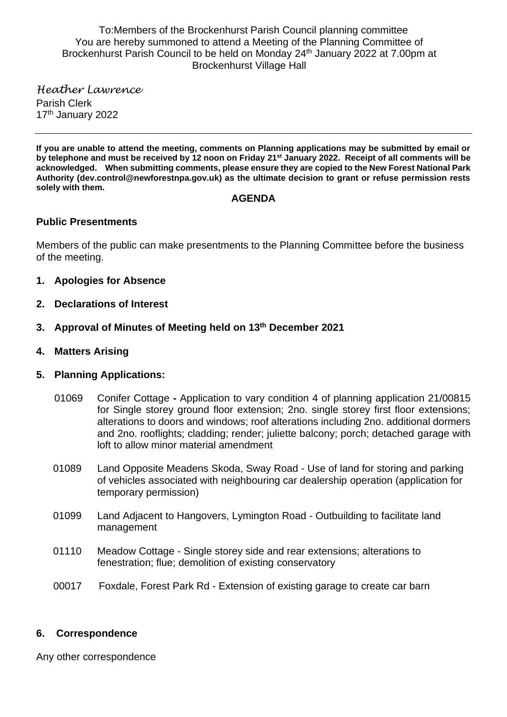To:Members of the Brockenhurst Parish Council planning committee You are hereby summoned to attend a Meeting of the Planning Committee of Brockenhurst Parish Council to be held on Monday 24th January 2022 at 7.00pm at Brockenhurst Village Hall

*Heather Lawrence* Parish Clerk 17<sup>th</sup> January 2022

**If you are unable to attend the meeting, comments on Planning applications may be submitted by email or by telephone and must be received by 12 noon on Friday 21st January 2022. Receipt of all comments will be acknowledged. When submitting comments, please ensure they are copied to the New Forest National Park Authority (dev.control@newforestnpa.gov.uk) as the ultimate decision to grant or refuse permission rests solely with them.**

#### **AGENDA**

### **Public Presentments**

Members of the public can make presentments to the Planning Committee before the business of the meeting.

- **1. Apologies for Absence**
- **2. Declarations of Interest**
- **3. Approval of Minutes of Meeting held on 13th December 2021**
- **4. Matters Arising**

### **5. Planning Applications:**

- 01069 Conifer Cottage **-** Application to vary condition 4 of planning application 21/00815 for Single storey ground floor extension; 2no. single storey first floor extensions; alterations to doors and windows; roof alterations including 2no. additional dormers and 2no. rooflights; cladding; render; juliette balcony; porch; detached garage with loft to allow minor material amendment
- 01089 Land Opposite Meadens Skoda, Sway Road Use of land for storing and parking of vehicles associated with neighbouring car dealership operation (application for temporary permission)
- 01099 Land Adjacent to Hangovers, Lymington Road Outbuilding to facilitate land management
- 01110 Meadow Cottage Single storey side and rear extensions; alterations to fenestration; flue; demolition of existing conservatory
- 00017 Foxdale, Forest Park Rd Extension of existing garage to create car barn

### **6. Correspondence**

Any other correspondence